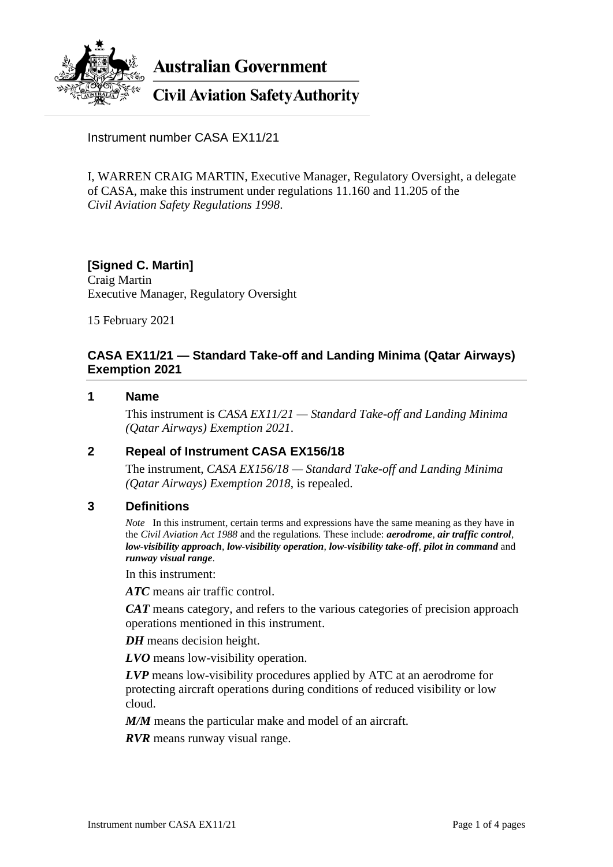

**Australian Government** 

# **Civil Aviation Safety Authority**

Instrument number CASA EX11/21

I, WARREN CRAIG MARTIN, Executive Manager, Regulatory Oversight, a delegate of CASA, make this instrument under regulations 11.160 and 11.205 of the *Civil Aviation Safety Regulations 1998*.

#### **[Signed C. Martin]** Craig Martin Executive Manager, Regulatory Oversight

15 February 2021

# **CASA EX11/21 — Standard Take-off and Landing Minima (Qatar Airways) Exemption 2021**

#### **1 Name**

This instrument is *CASA EX11/21 — Standard Take-off and Landing Minima (Qatar Airways) Exemption 2021*.

## **2 Repeal of Instrument CASA EX156/18**

The instrument, *CASA EX156/18 — Standard Take-off and Landing Minima (Qatar Airways) Exemption 2018*, is repealed.

#### **3 Definitions**

*Note* In this instrument, certain terms and expressions have the same meaning as they have in the *Civil Aviation Act 1988* and the regulations*.* These include: *aerodrome*, *air traffic control*, *low-visibility approach*, *low-visibility operation*, *low-visibility take-off*, *pilot in command* and *runway visual range*.

In this instrument:

*ATC* means air traffic control.

*CAT* means category, and refers to the various categories of precision approach operations mentioned in this instrument.

*DH* means decision height.

*LVO* means low-visibility operation.

*LVP* means low-visibility procedures applied by ATC at an aerodrome for protecting aircraft operations during conditions of reduced visibility or low cloud.

*M/M* means the particular make and model of an aircraft.

*RVR* means runway visual range.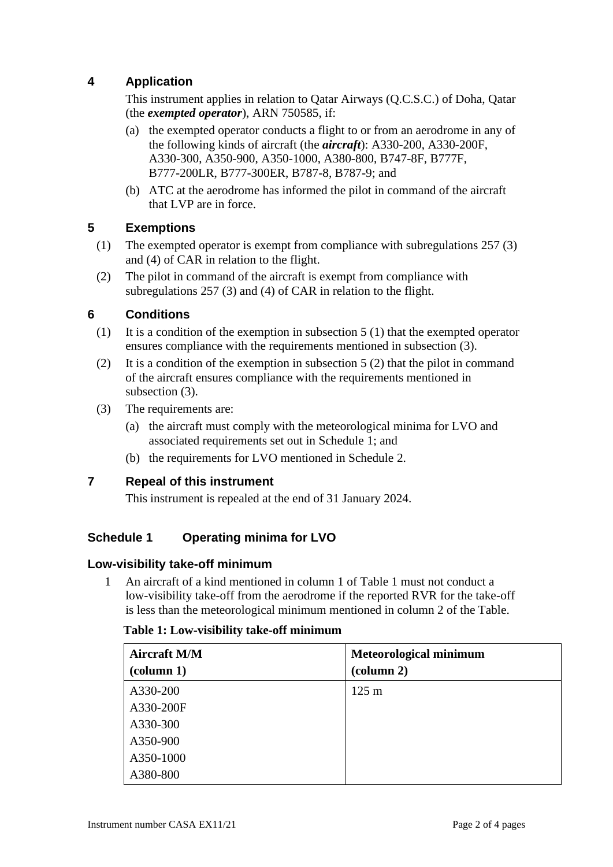# **4 Application**

This instrument applies in relation to Qatar Airways (Q.C.S.C.) of Doha, Qatar (the *exempted operator*), ARN 750585, if:

- (a) the exempted operator conducts a flight to or from an aerodrome in any of the following kinds of aircraft (the *aircraft*): A330-200, A330-200F, A330-300, A350-900, A350-1000, A380-800, B747-8F, B777F, B777-200LR, B777-300ER, B787-8, B787-9; and
- (b) ATC at the aerodrome has informed the pilot in command of the aircraft that LVP are in force.

# **5 Exemptions**

- (1) The exempted operator is exempt from compliance with subregulations 257 (3) and (4) of CAR in relation to the flight.
- (2) The pilot in command of the aircraft is exempt from compliance with subregulations 257 (3) and (4) of CAR in relation to the flight.

# **6 Conditions**

- (1) It is a condition of the exemption in subsection 5 (1) that the exempted operator ensures compliance with the requirements mentioned in subsection (3).
- (2) It is a condition of the exemption in subsection  $5(2)$  that the pilot in command of the aircraft ensures compliance with the requirements mentioned in subsection (3).
- (3) The requirements are:
	- (a) the aircraft must comply with the meteorological minima for LVO and associated requirements set out in Schedule 1; and
	- (b) the requirements for LVO mentioned in Schedule 2.

## **7 Repeal of this instrument**

This instrument is repealed at the end of 31 January 2024.

## **Schedule 1 Operating minima for LVO**

## **Low-visibility take-off minimum**

1 An aircraft of a kind mentioned in column 1 of Table 1 must not conduct a low-visibility take-off from the aerodrome if the reported RVR for the take-off is less than the meteorological minimum mentioned in column 2 of the Table.

#### **Table 1: Low-visibility take-off minimum**

| <b>Aircraft M/M</b><br>(column 1) | <b>Meteorological minimum</b><br>$\left(\text{column } 2\right)$ |
|-----------------------------------|------------------------------------------------------------------|
| A330-200                          | $125 \text{ m}$                                                  |
| A330-200F                         |                                                                  |
| A330-300                          |                                                                  |
| A350-900                          |                                                                  |
| A350-1000                         |                                                                  |
| A380-800                          |                                                                  |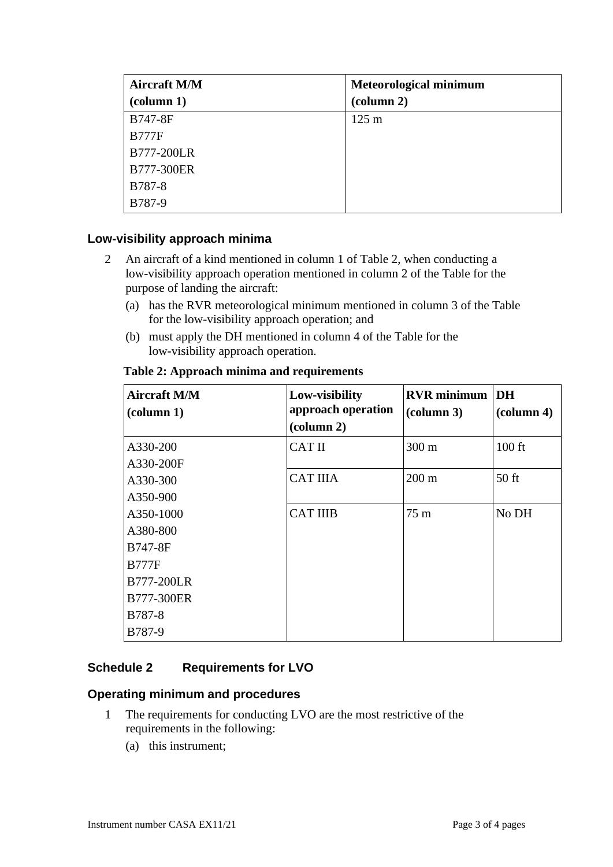| <b>Aircraft M/M</b><br>$\left(\text{column } 1\right)$ | <b>Meteorological minimum</b><br>$\left(\text{column } 2\right)$ |
|--------------------------------------------------------|------------------------------------------------------------------|
| <b>B747-8F</b>                                         | $125 \text{ m}$                                                  |
| <b>B777F</b>                                           |                                                                  |
| <b>B777-200LR</b>                                      |                                                                  |
| B777-300ER                                             |                                                                  |
| <b>B787-8</b>                                          |                                                                  |
| B787-9                                                 |                                                                  |

## **Low-visibility approach minima**

- 2 An aircraft of a kind mentioned in column 1 of Table 2, when conducting a low-visibility approach operation mentioned in column 2 of the Table for the purpose of landing the aircraft:
	- (a) has the RVR meteorological minimum mentioned in column 3 of the Table for the low-visibility approach operation; and
	- (b) must apply the DH mentioned in column 4 of the Table for the low-visibility approach operation.

| <b>Aircraft M/M</b><br>$\left(\text{column } 1\right)$ | Low-visibility<br>approach operation<br>$\left(\text{column } 2\right)$ | <b>RVR</b> minimum DH<br>$\left(\text{column }3\right)$ | $\alpha$ lumn 4) |
|--------------------------------------------------------|-------------------------------------------------------------------------|---------------------------------------------------------|------------------|
| A330-200                                               | <b>CAT II</b>                                                           | 300 m                                                   | $100$ ft         |
| A330-200F                                              |                                                                         |                                                         |                  |
| A330-300                                               | <b>CAT IIIA</b>                                                         | $200 \text{ m}$                                         | $50$ ft          |
| A350-900                                               |                                                                         |                                                         |                  |
| A350-1000                                              | <b>CAT IIIB</b>                                                         | $75 \text{ m}$                                          | No DH            |
| A380-800                                               |                                                                         |                                                         |                  |
| <b>B747-8F</b>                                         |                                                                         |                                                         |                  |
| <b>B777F</b>                                           |                                                                         |                                                         |                  |
| <b>B777-200LR</b>                                      |                                                                         |                                                         |                  |
| <b>B777-300ER</b>                                      |                                                                         |                                                         |                  |
| B787-8                                                 |                                                                         |                                                         |                  |
| B787-9                                                 |                                                                         |                                                         |                  |

#### **Table 2: Approach minima and requirements**

## **Schedule 2 Requirements for LVO**

#### **Operating minimum and procedures**

- 1 The requirements for conducting LVO are the most restrictive of the requirements in the following:
	- (a) this instrument;